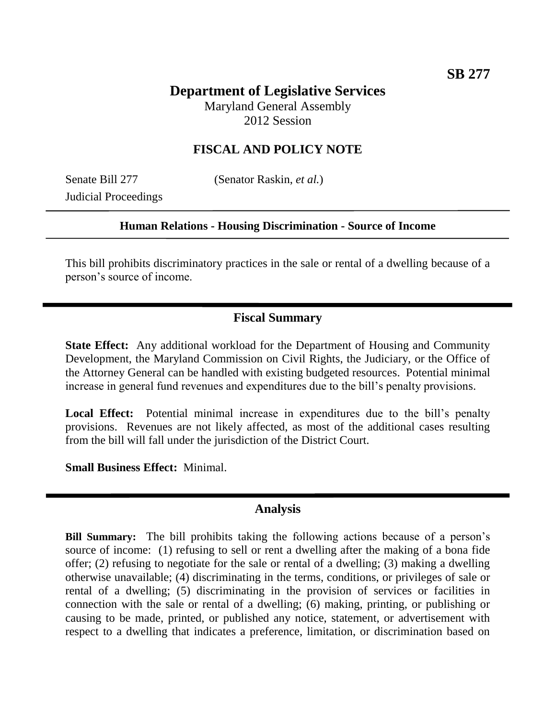# **Department of Legislative Services**

Maryland General Assembly 2012 Session

## **FISCAL AND POLICY NOTE**

Judicial Proceedings

Senate Bill 277 (Senator Raskin, *et al.*)

#### **Human Relations - Housing Discrimination - Source of Income**

This bill prohibits discriminatory practices in the sale or rental of a dwelling because of a person's source of income.

## **Fiscal Summary**

**State Effect:** Any additional workload for the Department of Housing and Community Development, the Maryland Commission on Civil Rights, the Judiciary, or the Office of the Attorney General can be handled with existing budgeted resources. Potential minimal increase in general fund revenues and expenditures due to the bill's penalty provisions.

Local Effect: Potential minimal increase in expenditures due to the bill's penalty provisions. Revenues are not likely affected, as most of the additional cases resulting from the bill will fall under the jurisdiction of the District Court.

**Small Business Effect:** Minimal.

### **Analysis**

**Bill Summary:** The bill prohibits taking the following actions because of a person's source of income: (1) refusing to sell or rent a dwelling after the making of a bona fide offer; (2) refusing to negotiate for the sale or rental of a dwelling; (3) making a dwelling otherwise unavailable; (4) discriminating in the terms, conditions, or privileges of sale or rental of a dwelling; (5) discriminating in the provision of services or facilities in connection with the sale or rental of a dwelling; (6) making, printing, or publishing or causing to be made, printed, or published any notice, statement, or advertisement with respect to a dwelling that indicates a preference, limitation, or discrimination based on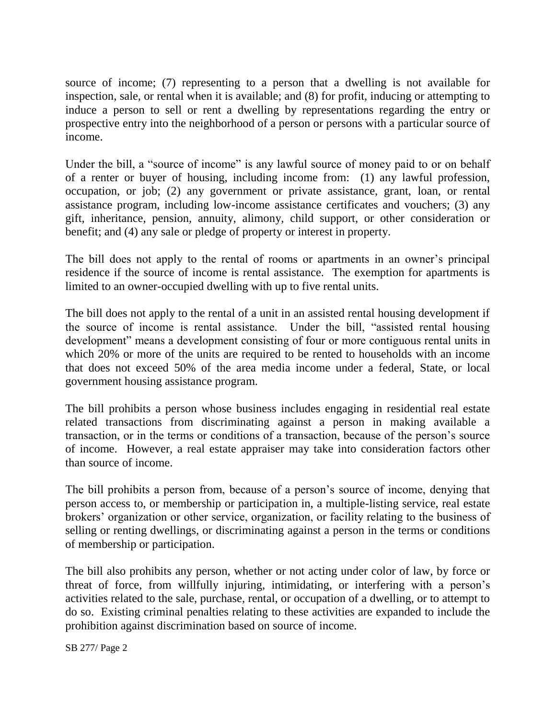source of income; (7) representing to a person that a dwelling is not available for inspection, sale, or rental when it is available; and (8) for profit, inducing or attempting to induce a person to sell or rent a dwelling by representations regarding the entry or prospective entry into the neighborhood of a person or persons with a particular source of income.

Under the bill, a "source of income" is any lawful source of money paid to or on behalf of a renter or buyer of housing, including income from: (1) any lawful profession, occupation, or job; (2) any government or private assistance, grant, loan, or rental assistance program, including low-income assistance certificates and vouchers; (3) any gift, inheritance, pension, annuity, alimony, child support, or other consideration or benefit; and (4) any sale or pledge of property or interest in property.

The bill does not apply to the rental of rooms or apartments in an owner's principal residence if the source of income is rental assistance. The exemption for apartments is limited to an owner-occupied dwelling with up to five rental units.

The bill does not apply to the rental of a unit in an assisted rental housing development if the source of income is rental assistance. Under the bill, "assisted rental housing development" means a development consisting of four or more contiguous rental units in which 20% or more of the units are required to be rented to households with an income that does not exceed 50% of the area media income under a federal, State, or local government housing assistance program.

The bill prohibits a person whose business includes engaging in residential real estate related transactions from discriminating against a person in making available a transaction, or in the terms or conditions of a transaction, because of the person's source of income. However, a real estate appraiser may take into consideration factors other than source of income.

The bill prohibits a person from, because of a person's source of income, denying that person access to, or membership or participation in, a multiple-listing service, real estate brokers' organization or other service, organization, or facility relating to the business of selling or renting dwellings, or discriminating against a person in the terms or conditions of membership or participation.

The bill also prohibits any person, whether or not acting under color of law, by force or threat of force, from willfully injuring, intimidating, or interfering with a person's activities related to the sale, purchase, rental, or occupation of a dwelling, or to attempt to do so. Existing criminal penalties relating to these activities are expanded to include the prohibition against discrimination based on source of income.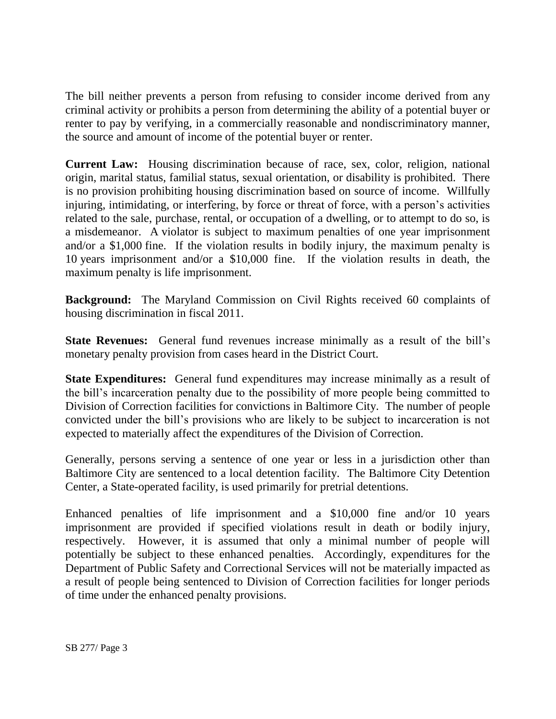The bill neither prevents a person from refusing to consider income derived from any criminal activity or prohibits a person from determining the ability of a potential buyer or renter to pay by verifying, in a commercially reasonable and nondiscriminatory manner, the source and amount of income of the potential buyer or renter.

**Current Law:** Housing discrimination because of race, sex, color, religion, national origin, marital status, familial status, sexual orientation, or disability is prohibited. There is no provision prohibiting housing discrimination based on source of income. Willfully injuring, intimidating, or interfering, by force or threat of force, with a person's activities related to the sale, purchase, rental, or occupation of a dwelling, or to attempt to do so, is a misdemeanor. A violator is subject to maximum penalties of one year imprisonment and/or a \$1,000 fine. If the violation results in bodily injury, the maximum penalty is 10 years imprisonment and/or a \$10,000 fine. If the violation results in death, the maximum penalty is life imprisonment.

**Background:** The Maryland Commission on Civil Rights received 60 complaints of housing discrimination in fiscal 2011.

**State Revenues:** General fund revenues increase minimally as a result of the bill's monetary penalty provision from cases heard in the District Court.

**State Expenditures:** General fund expenditures may increase minimally as a result of the bill's incarceration penalty due to the possibility of more people being committed to Division of Correction facilities for convictions in Baltimore City. The number of people convicted under the bill's provisions who are likely to be subject to incarceration is not expected to materially affect the expenditures of the Division of Correction.

Generally, persons serving a sentence of one year or less in a jurisdiction other than Baltimore City are sentenced to a local detention facility. The Baltimore City Detention Center, a State-operated facility, is used primarily for pretrial detentions.

Enhanced penalties of life imprisonment and a \$10,000 fine and/or 10 years imprisonment are provided if specified violations result in death or bodily injury, respectively. However, it is assumed that only a minimal number of people will potentially be subject to these enhanced penalties. Accordingly, expenditures for the Department of Public Safety and Correctional Services will not be materially impacted as a result of people being sentenced to Division of Correction facilities for longer periods of time under the enhanced penalty provisions.